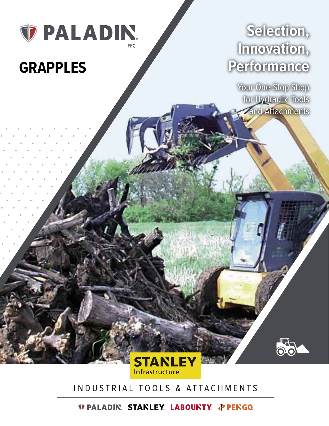

# **GRAPPLES**

## **Selection, Innovation, Performance**

Your One-Stop Shop for Hydraulic Tools and Attachments



### INDUSTRIAL TOOLS & ATTACHMENTS

*DEALADIN STANLEY LABOUNTY & PENGO*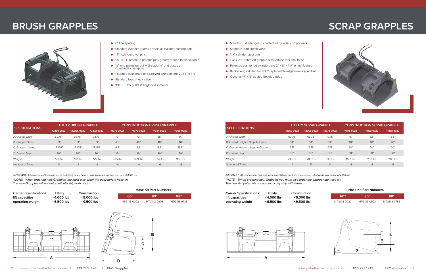

- 6" tine spacing
- Standard cylinder guards protect all cylinder components
- 1¼" cylinder pivot pins
- 1 ¼" x 24" patented grapple pins greatly reduce torsional force
- <sup>3</sup>/<sub>8</sub>" end plates on Utility Grapple ½" end plates on Construction Grapple
- Patented cushioned and sleeved cylinders are  $2" \times 8" \times 1\frac{1}{4"$
- Standard load check valve
- 100,000 PSI yield strength tine material
- Standard cylinder guards protect all cylinder components
- Standard load check valve
- 1¼" cylinder pivot pins
- 1 ¼" x 24" patented grapple pins reduce torsional force
- Patented cushioned cylinders are 2" x 8" x 11/4" on full feature
- Bucket edge drilled for FFC® replaceable edge unless specified
- $\bullet$  Optional  $\frac{3}{4}$ " x 8" double beveled edge

| <b>SPECIFICATIONS</b> | <b>UTILITY BRUSH GRAPPLE</b> |             |            | <b>CONSTRUCTION BRUSH GRAPPLE</b> |            |            |            |
|-----------------------|------------------------------|-------------|------------|-----------------------------------|------------|------------|------------|
|                       | 12260-0022                   | 122266-0022 | 12272-0022 | 11372-0022                        | 11378-0022 | 11384-0022 | 11390-0022 |
| A. Overall Width      | 60.75"                       | 66.75"      | 72.75"     | 73"                               | 79"        | 85"        | 91"        |
| B. Grapple Open       | 33"                          | 33"         | 33"        | 40"                               | 40"        | 40"        | 40"        |
| C. Grapple Closed     | 17.375"                      | 17.375"     | 17.375"    | 16.5"                             | 16.5"      | 16.5"      | 16.5"      |
| D. Overall Depth      | 36"                          | 36"         | 36"        | 39"                               | 39"        | 39"        | 39"        |
| Weight                | 723 lbs                      | 740 lbs     | 775 lbs    | 925 lbs                           | 999 lbs    | $1054$ lbs | $1105$ lbs |
| Number of Tines       | 11                           | 12          | 14         | 14                                | 14         | 16         | 16         |

IMPORTANT: All replacement hydraulic hoses and fittings must have a minimum rated working pressure of 4000 psi. MPORTANT: All replacement hydraulic hoses and fittings must have a minimum rated working pressure of 4000 psi. *\*NOTE: When ordering new Grapples you must also order the appropriate hose kit. The new Grapples will not automatically ship with hoses.*

| <b>SPECIFICATIONS</b>              |            | <b>UTILITY SCRAP GRAPPLE</b> |            | <b>CONSTRUCTION SCRAP GRAPPLE</b> |            |            |  |
|------------------------------------|------------|------------------------------|------------|-----------------------------------|------------|------------|--|
|                                    | 12860-0022 | 12866-0022                   | 12872-0022 | 11876-0022                        | 11882-0022 | 11888-0022 |  |
| A. Overall Width                   | 60.75"     | 66.75"                       | 72.75"     | 76"                               | 82"        | 88"        |  |
| B. Overall Height - Grapple Open   | 34"        | 34"                          | 34"        | 40"                               | 40"        | 40"        |  |
| C. Overall Height - Grapple Closed | 19.75"     | 19.75"                       | 19.75"     | 20"                               | 20"        | 20"        |  |
| D. Overall Depth                   | 36"        | 36"                          | 36"        | 38"                               | 38"        | 38"        |  |
| Weight                             | 738 lbs    | 788 lbs                      | 835 lbs    | 1081 lbs                          | $1133$ lbs | 1180 lbs   |  |
| Number of Tines                    |            | 12                           | 14         | 14                                | 14         | 16         |  |

*\*NOTE: When ordering new Grapples you must also order the appropriate hose kit.* 

*The new Grapples will not automatically ship with hoses.*

| <b>Carrier Specifications:</b> | Utility    | Cor  |
|--------------------------------|------------|------|
| lift capacities                | <4.000 lbs | </td |
| operating weight               | <6,500 lbs | ؟>   |



| <b>Carrier Specifications:</b> | Utility       | Construction |
|--------------------------------|---------------|--------------|
| lift capacities                | <4.000 lbs    | <5.000 lbs   |
| operating weight               | $<$ 6.500 lbs | <9.500 lbs   |

### **BRUSH GRAPPLES SCRAPPLES**



|              | TIOSE INTTUITINUIIIDEIS        |              |
|--------------|--------------------------------|--------------|
| ഭറ"          | "רו                            |              |
| MTC1112 0022 | $MTC1112$ $\cap$ $\cap$ $\cap$ | MTC1112 0792 |





| www.paladinattachments.com | 833.723.1843 | FFC Grapples |
|----------------------------|--------------|--------------|
|                            |              |              |

| 60"          | 80"          | 88"          |
|--------------|--------------|--------------|
| MTG1113-0022 | MTG1113-0903 | MTG1113-9783 |

| 60"          | 80"          | 88"          |
|--------------|--------------|--------------|
| MTG1113-0022 | MTG1113-0903 | MTG1113-9783 |

#### **Hose Kit Part Numbers Hose Kit Part Numbers**